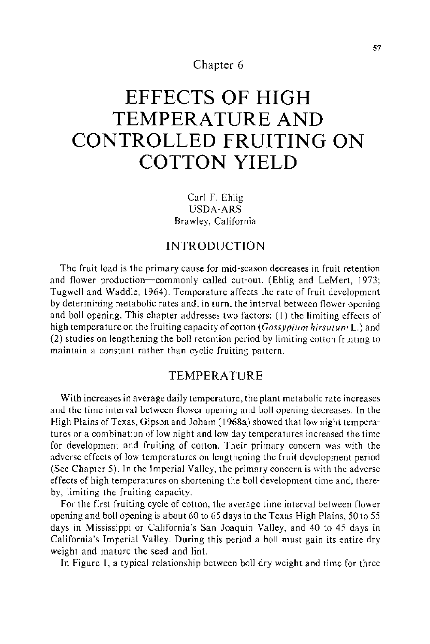Chapter 6

# **EFFECTS OF HIGH TEMPERATURE AND CONTROLLED FRUITING ON COTTON YIELD**

Carl F. Ehlig USDA-ARS Brawley, California

## INTRODUCTION

The fruit load is the primary cause for mid-season decreases in fruit retention and flower production-commonly called cut-out. (Ehlig and LeMert, 1973; Tugwell and Waddle, 1964). Temperature affects the rate of fruit development by determining metabolic rates and, in turn, the interval between flower opening and boll opening. This chapter addresses two factors: (I) the limiting effects of high temperature on the fruiting capacity of cotton ( *Gossypium hirsutum* L.) and (2) studies on lengthening the boll retention period by limiting cotton fruiting to maintain a constant rather than cyclic fruiting pattern.

## TEMPERATURE

With increases in average daily temperature, the plant metabolic rate increases and the time interval between flower opening and boll opening decreases. In the High Plains of Texas, Gipson and Joham ( 1968a) showed that low night temperatures or a combination of low night and low day temperatures increased the time for development and fruiting of cotton. Their primary concern was with the adverse effects of low temperatures on lengthening the fruit development period (See Chapter 5). In the Imperial Valley, the primary concern is with the adverse effects of high temperatures on shortening the boll development time and, thereby, limiting the fruiting capacity.

For the first fruiting cycle of cotton, the average time interval between flower opening and boll opening is about 60 to 65 days in the Texas High Plains, 50 to 55 days in Mississippi or California's San Joaquin Valley, and 40 to 45 days in California's Imperial Valley. During this period a boll must gain its entire dry weight and mature the seed and lint.

In Figure 1, a typical relationship between boll dry weight and time for three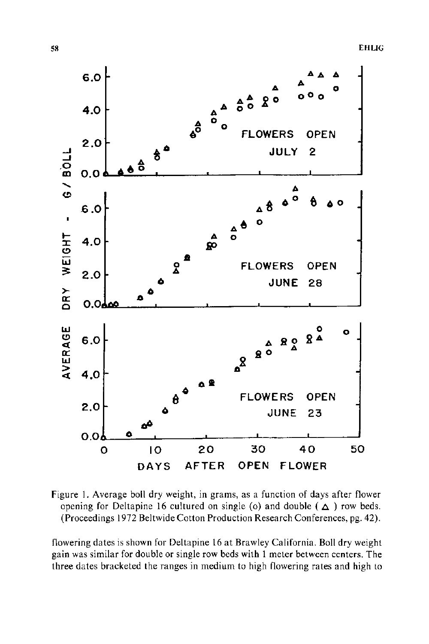

Figure I. Average boll dry weight, in grams, as a function of days after flower opening for Deltapine 16 cultured on single (o) and double  $(\Delta)$  row beds. (Proceedings 1972 Beltwide Cotton Production Research Conferences, pg. 42).

flowering dates is shown for Deltapine 16 at Brawley California. Boll dry weight gain was similar for double or single row beds with 1 meter between centers. The three dates bracketed the ranges in medium to high flowering rates and high to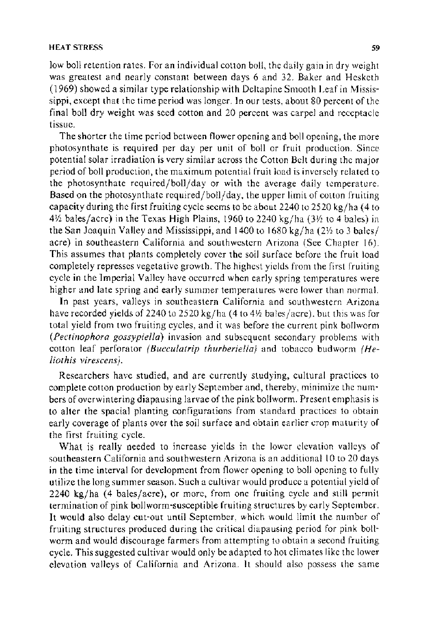#### HEAT STRESS 59

low boll retention rates. For an individual cotton boll, the daily gain in dry weight was greatest and nearly constant between days 6 and 32. Baker and Hesketh (1969) showed a similar type relationship with Deltapine Smooth Leaf in Mississippi, except that the time period was longer. In our tests, about 80 percent of the final boll dry weight was seed cotton and 20 percent was carpel and receptacle tissue.

The shorter the time period between flower opening and boll opening, the more photosynthate is required per day per unit of boll or fruit production. Since potential solar irradiation is very similar across the Cotton Belt during the major period of boll production, the maximum potential fruit load is inversely related to the photosynthate required/boll/day or with the average daily temperature. Based on the photosynthate required/boll/day, the upper limit of cotton fruiting capacity during the first fruiting cycle seems to be about  $2240$  to  $2520$  kg/ha (4 to  $4\frac{1}{2}$  bales/acre) in the Texas High Plains, 1960 to 2240 kg/ha (3 $\frac{1}{2}$  to 4 bales) in the San Joaquin Valley and Mississippi, and 1400 to 1680 kg/ha (2% to 3 bales/ acre) in southeastern California and southwestern Arizona (See Chapter 16). This assumes that plants completely cover the soil surface before the fruit load completely represses vegetative growth. The highest yields from the first fruiting cycle in the Imperial Valley have occurred when early spring temperatures were higher and late spring and early summer temperatures were lower than normal.

In past years, valleys in southeastern California and southwestern Arizona have recorded yields of 2240 to 2520 kg/ha (4 to 4½ bales/acre), but this was for total yield from two fruiting cycles, and it was before the current pink bollworm *(Pectinophora gossypiella)* invasion and subsequent secondary problems with cotton leaf perforator *(Bucculatrip thurberiella)* and tobacco budworm *(Heliothis virescens).* 

Researchers have studied, and are currently studying, cultural practices to complete cotton production by early September and, thereby, minimize the numbers of overwintering diapausing larvae of the pink bollworm. Present emphasis is to alter the spacial planting configurations from standard practices to obtain early coverage of plants over the soil surface and obtain earlier crop maturity of the first fruiting cycle.

What is really needed to increase yields in the lower elevation valleys of southeastern California and southwestern Arizona is an additional 10 to 20 days in the time interval for development from flower opening to boll opening to fully utilize the long summer season. Such a cultivar would produce a potential yield of 2240 kg/ha (4 bales/acre), or more, from one fruiting cycle and still permit termination of pink bollworm-susceptible fruiting structures by early September. It would also delay cut-out until September, which would limit the number of fruiting structures produced during the critical diapausing period for pink bollworm and would discourage farmers from attempting to obtain a second fruiting cycle. This suggested cultivar would only be adapted to hot climates like the lower elevation valleys of California and Arizona. It should also possess the same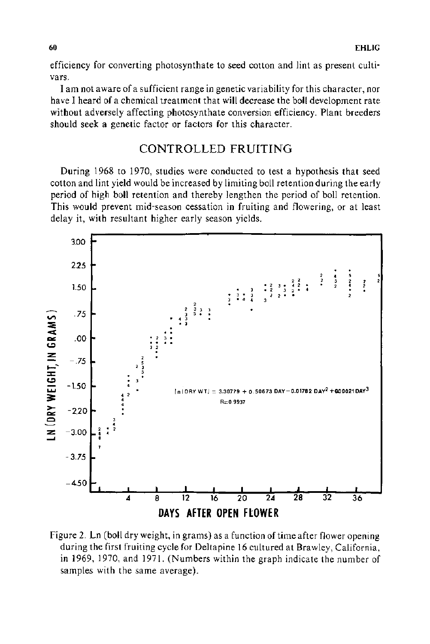efficiency for converting photosynthate to seed cotton and lint as present cultivars.

I am not aware of a sufficient range in genetic variability for this character, nor have I heard of a chemical treatment that will decrease the boll development rate without adversely affecting photosynthate conversion efficiency. Plant breeders should seek a genetic factor or factors for this character.

## CONTROLLED FRUITING

During 1968 to 1970, studies were conducted to test a hypothesis that seed cotton and lint yield would be increased by limiting boll retention during the early period of high boll retention and thereby lengthen the period of boll retention. This would prevent mid-season cessation in fruiting and flowering, or at least delay it, with resultant higher early season yields.



Figure 2. Ln (boll dry weight, in grams) as a function of time after flower opening during the first fruiting cycle for Deltapine 16 cultured at Brawley, California, in 1969, 1970, and 1971. (Numbers within the graph indicate the number of samples with the same average).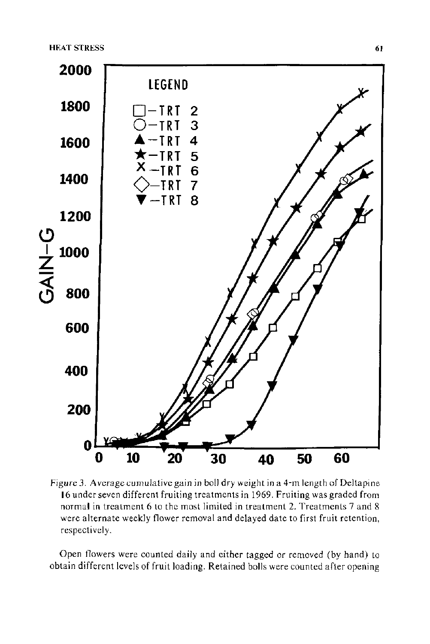**HEAT** STRESS



Figure 3. Average cumulative gain in boll dry weight in a 4-m length of Deltapine 16 under seven different fruiting treatments in 1969. Fruiting was graded from normal in treatment 6 to the most limited in treatment 2. Treatments 7 and 8 were alternate weekly flower removal and delayed date to first fruit retention, respectively.

Open flowers were counted daily and either tagged or removed (by hand) to obtain different levels of fruit loading. Retained bolls were counted after opening